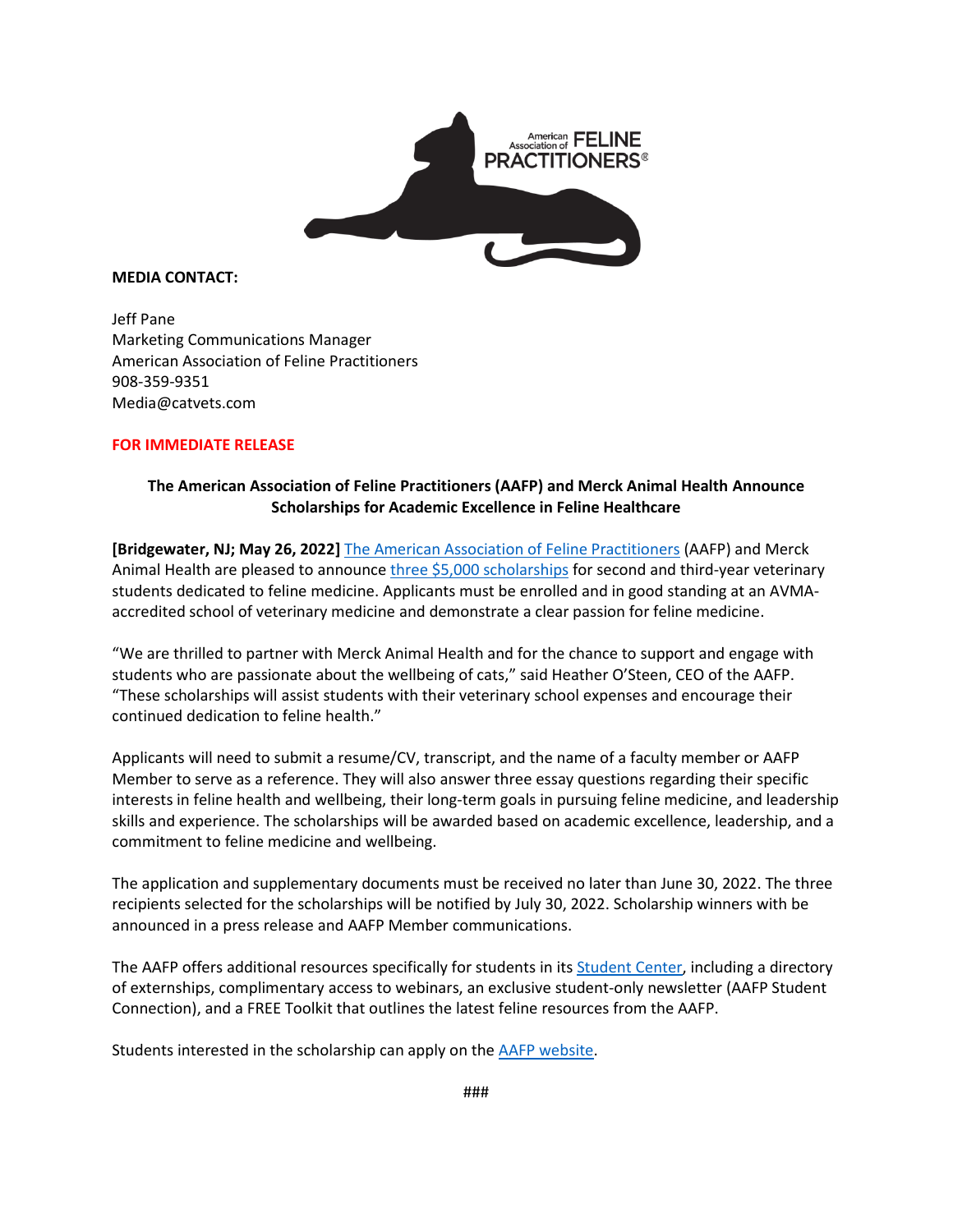

**MEDIA CONTACT:**

Jeff Pane Marketing Communications Manager American Association of Feline Practitioners 908-359-9351 Media@catvets.com

## **FOR IMMEDIATE RELEASE**

## **The American Association of Feline Practitioners (AAFP) and Merck Animal Health Announce Scholarships for Academic Excellence in Feline Healthcare**

**[Bridgewater, NJ; May 26, 2022]** [The American Association of Feline Practitioners](https://catvets.com/) (AAFP) and Merck Animal Health are pleased to announc[e three \\$5,000](https://catvets.com/members/students/merck-award-program/) scholarships for second and third-year veterinary students dedicated to feline medicine. Applicants must be enrolled and in good standing at an AVMAaccredited school of veterinary medicine and demonstrate a clear passion for feline medicine.

"We are thrilled to partner with Merck Animal Health and for the chance to support and engage with students who are passionate about the wellbeing of cats," said Heather O'Steen, CEO of the AAFP. "These scholarships will assist students with their veterinary school expenses and encourage their continued dedication to feline health."

Applicants will need to submit a resume/CV, transcript, and the name of a faculty member or AAFP Member to serve as a reference. They will also answer three essay questions regarding their specific interests in feline health and wellbeing, their long-term goals in pursuing feline medicine, and leadership skills and experience. The scholarships will be awarded based on academic excellence, leadership, and a commitment to feline medicine and wellbeing.

The application and supplementary documents must be received no later than June 30, 2022. The three recipients selected for the scholarships will be notified by July 30, 2022. Scholarship winners with be announced in a press release and AAFP Member communications.

The AAFP offers additional resources specifically for students in its **Student Center**, including a directory of externships, complimentary access to webinars, an exclusive student-only newsletter (AAFP Student Connection), and a FREE Toolkit that outlines the latest feline resources from the AAFP.

Students interested in the scholarship can apply on the [AAFP website.](https://catvets.com/members/students/merck-award-program/)